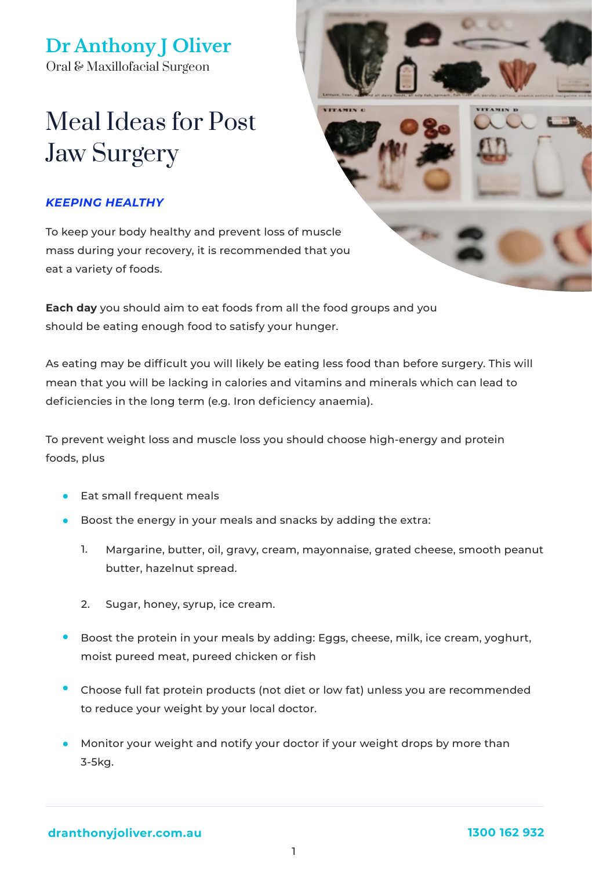# Meal Ideas for Post Jaw Surgery

- Eat small frequent meals  $\bullet$
- Boost the energy in your meals and snacks by adding the extra:  $\bullet$ 
	- Margarine, butter, oil, gravy, cream, mayonnaise, grated cheese, smooth peanut butter, hazelnut spread. 1.
	- Sugar, honey, syrup, ice cream. 2.
- Boost the protein in your meals by adding: Eggs, cheese, milk, ice cream, yoghurt,  $\bullet$ moist pureed meat, pureed chicken or fish
- Choose full fat protein products (not diet or low fat) unless you are recommended to reduce your weight by your local doctor.
- Monitor your weight and notify your doctor if your weight drops by more than 3-5kg.

**Dr Anthony J Oliver** Oral & Maxillofacial Surgeon

To keep your body healthy and prevent loss of muscle mass during your recovery, it is recommended that you





**Each day** you should aim to eat foods from all the food groups and you should be eating enough food to satisfy your hunger.

As eating may be difficult you will likely be eating less food than before surgery. This will mean that you will be lacking in calories and vitamins and minerals which can lead to deficiencies in the long term (e.g. Iron deficiency anaemia).

To prevent weight loss and muscle loss you should choose high-energy and protein foods, plus



#### *KEEPING HEALTHY*

1

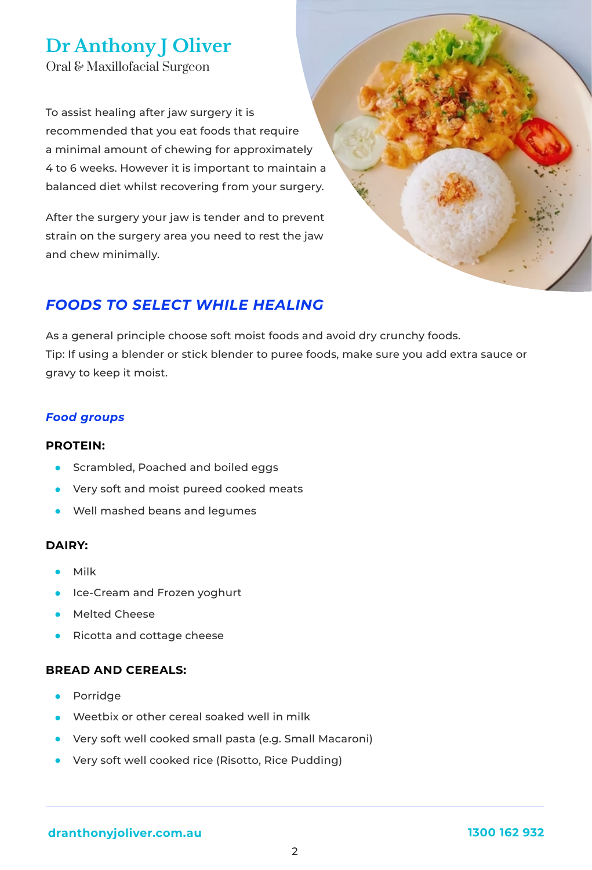- Milk  $\bullet$
- Ice-Cream and Frozen yoghurt  $\bullet$
- Melted Cheese
- Ricotta and cottage cheese  $\bullet$

- Porridge  $\bullet$
- Weetbix or other cereal soaked well in milk
- Very soft well cooked small pasta (e.g. Small Macaroni)

Very soft well cooked rice (Risotto, Rice Pudding)

To assist healing after jaw surgery it is recommended that you eat foods that require a minimal amount of chewing for approximately 4 to 6 weeks. However it is important to maintain a balanced diet whilst recovering from your surgery.

### **Dr Anthony J Oliver** Oral & Maxillofacial Surgeon

After the surgery your jaw is tender and to prevent strain on the surgery area you need to rest the jaw and chew minimally.



As a general principle choose soft moist foods and avoid dry crunchy foods. Tip: If using a blender or stick blender to puree foods, make sure you add extra sauce or

gravy to keep it moist.



2



### *FOODS TO SELECT WHILE HEALING*

#### *Food groups*

#### **PROTEIN:**

- Scrambled, Poached and boiled eggs
- Very soft and moist pureed cooked meats
- Well mashed beans and legumes  $\bullet$

#### **DAIRY:**

#### **BREAD AND CEREALS:**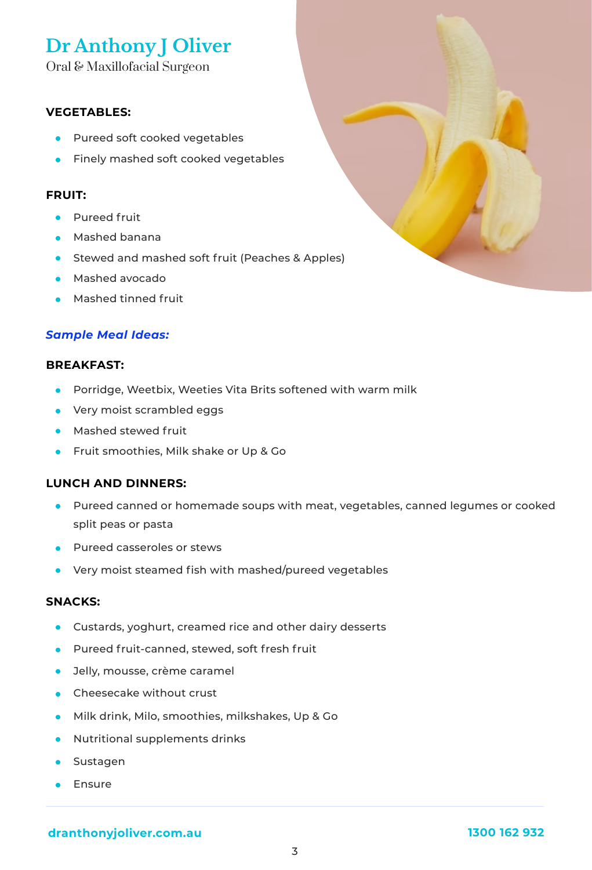#### **dranthonyjoliver.com.au**

3



- Pureed soft cooked vegetables  $\bullet$
- Finely mashed soft cooked vegetables  $\bullet$

## **Dr Anthony J Oliver** Oral & Maxillofacial Surgeon

- Porridge, Weetbix, Weeties Vita Brits softened with warm milk  $\bullet$
- Very moist scrambled eggs
- Mashed stewed fruit  $\bullet$
- Fruit smoothies, Milk shake or Up & Go  $\bullet$

Pureed canned or homemade soups with meat, vegetables, canned legumes or cooked  $\bullet$ 

- Pureed fruit  $\bullet$
- Mashed banana
- Stewed and mashed soft fruit (Peaches & Apples)



- **•** Pureed casseroles or stews
- Very moist steamed fish with mashed/pureed vegetables

split peas or pasta

- Mashed avocado  $\bullet$
- Mashed tinned fruit  $\bullet$

- Custards, yoghurt, creamed rice and other dairy desserts  $\bullet$
- Pureed fruit-canned, stewed, soft fresh fruit  $\bullet$
- Jelly, mousse, crème caramel  $\bullet$
- Cheesecake without crust  $\bullet$
- Milk drink, Milo, smoothies, milkshakes, Up & Go  $\bullet$
- Nutritional supplements drinks  $\bullet$
- Sustagen



#### **VEGETABLES:**

#### **FRUIT:**

#### **BREAKFAST:**

#### **SNACKS:**

#### **LUNCH AND DINNERS:**

#### *Sample Meal Ideas:*